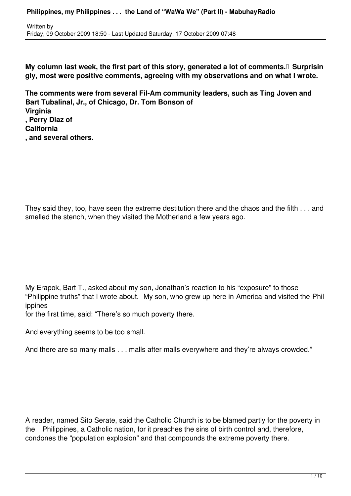**My column last week, the first part of this story, generated a lot of comments. I Surprisin gly, most were positive comments, agreeing with my observations and on what I wrote.**

**The comments were from several Fil-Am community leaders, such as Ting Joven and Bart Tubalinal, Jr., of Chicago, Dr. Tom Bonson of Virginia , Perry Diaz of California , and several others.**

They said they, too, have seen the extreme destitution there and the chaos and the filth . . . and smelled the stench, when they visited the Motherland a few years ago.

My Erapok, Bart T., asked about my son, Jonathan's reaction to his "exposure" to those "Philippine truths" that I wrote about. My son, who grew up here in America and visited the Phil ippines

for the first time, said: "There's so much poverty there.

And everything seems to be too small.

And there are so many malls . . . malls after malls everywhere and they're always crowded."

A reader, named Sito Serate, said the Catholic Church is to be blamed partly for the poverty in the Philippines, a Catholic nation, for it preaches the sins of birth control and, therefore, condones the "population explosion" and that compounds the extreme poverty there.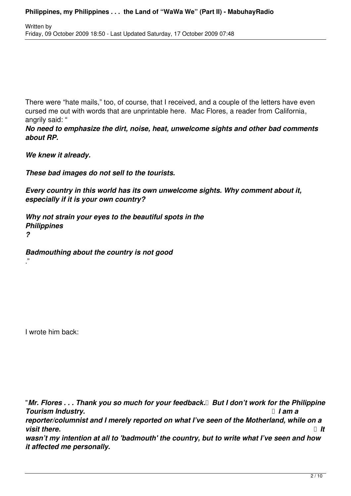There were "hate mails," too, of course, that I received, and a couple of the letters have even cursed me out with words that are unprintable here. Mac Flores, a reader from California, angrily said: "

*No need to emphasize the dirt, noise, heat, unwelcome sights and other bad comments about RP.*

*We knew it already.*

*These bad images do not sell to the tourists.*

*Every country in this world has its own unwelcome sights. Why comment about it, especially if it is your own country?*

*Why not strain your eyes to the beautiful spots in the Philippines ?*

*Badmouthing about the country is not good*

I wrote him back:

."

"*Mr. Flores . . . Thank you so much for your feedback. But I don't work for the Philippine Tourism Industry. I am a reporter/columnist and I merely reported on what I've seen of the Motherland, while on a*  $$ *wasn't my intention at all to 'badmouth' the country, but to write what I've seen and how it affected me personally.*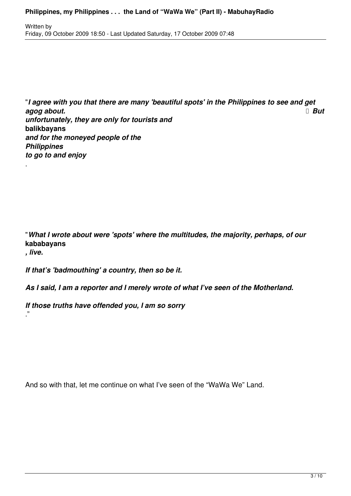"*I agree with you that there are many 'beautiful spots' in the Philippines to see and get* **agog about. But** *unfortunately, they are only for tourists and*  **balikbayans** *and for the moneyed people of the Philippines to go to and enjoy*

"*What I wrote about were 'spots' where the multitudes, the majority, perhaps, of our* **kababayans** *, live.*

*If that's 'badmouthing' a country, then so be it.*

.

."

*As I said, I am a reporter and I merely wrote of what I've seen of the Motherland.*

*If those truths have offended you, I am so sorry*

And so with that, let me continue on what I've seen of the "WaWa We" Land.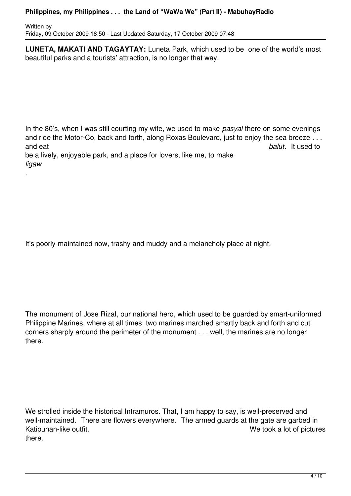#### **Philippines, my Philippines . . . the Land of "WaWa We" (Part II) - MabuhayRadio**

Written by Friday, 09 October 2009 18:50 - Last Updated Saturday, 17 October 2009 07:48

.

**LUNETA, MAKATI AND TAGAYTAY:** Luneta Park, which used to be one of the world's most beautiful parks and a tourists' attraction, is no longer that way.

In the 80's, when I was still courting my wife, we used to make *pasyal* there on some evenings and ride the Motor-Co, back and forth, along Roxas Boulevard, just to enjoy the sea breeze . . . and eat *balut*. It used to be a lively, enjoyable park, and a place for lovers, like me, to make *ligaw*

It's poorly-maintained now, trashy and muddy and a melancholy place at night.

The monument of Jose Rizal, our national hero, which used to be guarded by smart-uniformed Philippine Marines, where at all times, two marines marched smartly back and forth and cut corners sharply around the perimeter of the monument . . . well, the marines are no longer there.

We strolled inside the historical Intramuros. That, I am happy to say, is well-preserved and well-maintained. There are flowers everywhere. The armed guards at the gate are garbed in Katipunan-like outfit. 
Katipunan-like outfit. there.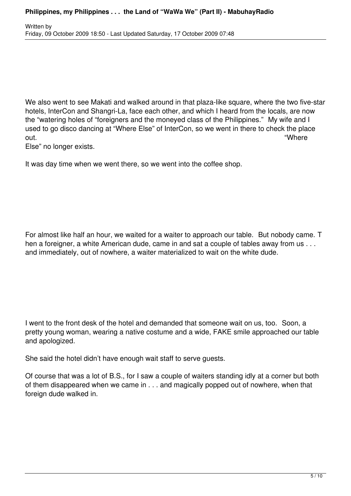We also went to see Makati and walked around in that plaza-like square, where the two five-star hotels, InterCon and Shangri-La, face each other, and which I heard from the locals, are now the "watering holes of "foreigners and the moneyed class of the Philippines." My wife and I used to go disco dancing at "Where Else" of InterCon, so we went in there to check the place out. "Where

Else" no longer exists.

It was day time when we went there, so we went into the coffee shop.

For almost like half an hour, we waited for a waiter to approach our table. But nobody came. T hen a foreigner, a white American dude, came in and sat a couple of tables away from us . . . and immediately, out of nowhere, a waiter materialized to wait on the white dude.

I went to the front desk of the hotel and demanded that someone wait on us, too. Soon, a pretty young woman, wearing a native costume and a wide, FAKE smile approached our table and apologized.

She said the hotel didn't have enough wait staff to serve guests.

Of course that was a lot of B.S., for I saw a couple of waiters standing idly at a corner but both of them disappeared when we came in . . . and magically popped out of nowhere, when that foreign dude walked in.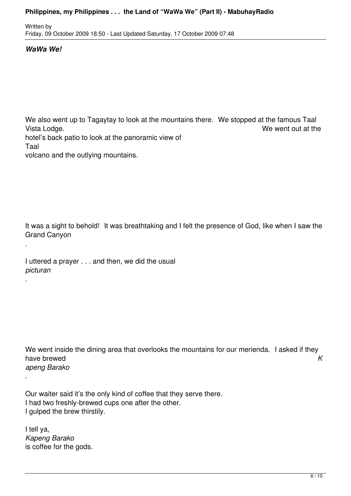### **Philippines, my Philippines . . . the Land of "WaWa We" (Part II) - MabuhayRadio**

Written by Friday, 09 October 2009 18:50 - Last Updated Saturday, 17 October 2009 07:48

## *WaWa We!*

.

.

.

We also went up to Tagaytay to look at the mountains there. We stopped at the famous Taal Vista Lodge. **We went out at the Vista Lodge.** We went out at the Vista Lodge. hotel's back patio to look at the panoramic view of Taal

volcano and the outlying mountains.

It was a sight to behold! It was breathtaking and I felt the presence of God, like when I saw the Grand Canyon

I uttered a prayer . . . and then, we did the usual *picturan*

We went inside the dining area that overlooks the mountains for our merienda. I asked if they have brewed **K** *apeng Barako*

Our waiter said it's the only kind of coffee that they serve there. I had two freshly-brewed cups one after the other. I gulped the brew thirstily.

I tell ya, *Kapeng Barako* is coffee for the gods.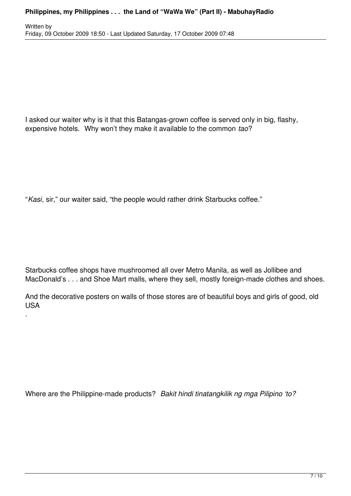Written by Friday, 09 October 2009 18:50 - Last Updated Saturday, 17 October 2009 07:48

I asked our waiter why is it that this Batangas-grown coffee is served only in big, flashy, expensive hotels. Why won't they make it available to the common *tao*?

"*Kasi*, sir," our waiter said, "the people would rather drink Starbucks coffee."

.

Starbucks coffee shops have mushroomed all over Metro Manila, as well as Jollibee and MacDonald's . . . and Shoe Mart malls, where they sell, mostly foreign-made clothes and shoes.

And the decorative posters on walls of those stores are of beautiful boys and girls of good, old USA

Where are the Philippine-made products? *Bakit hindi tinatangkilik ng mga Pilipino 'to?*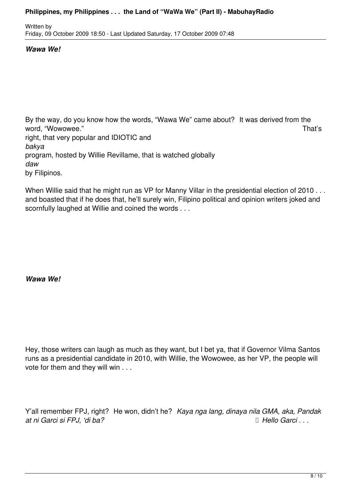### **Philippines, my Philippines . . . the Land of "WaWa We" (Part II) - MabuhayRadio**

Written by Friday, 09 October 2009 18:50 - Last Updated Saturday, 17 October 2009 07:48

## *Wawa We!*

By the way, do you know how the words, "Wawa We" came about? It was derived from the word, "Wowowee." That's right, that very popular and IDIOTIC and *bakya* program, hosted by Willie Revillame, that is watched globally *daw* by Filipinos.

When Willie said that he might run as VP for Manny Villar in the presidential election of 2010 . . . and boasted that if he does that, he'll surely win, Filipino political and opinion writers joked and scornfully laughed at Willie and coined the words . . .

*Wawa We!*

Hey, those writers can laugh as much as they want, but I bet ya, that if Governor Vilma Santos runs as a presidential candidate in 2010, with Willie, the Wowowee, as her VP, the people will vote for them and they will win . . .

Y'all remember FPJ, right? He won, didn't he? *Kaya nga lang, dinaya nila GMA, aka, Pandak at ni Garci si FPJ, 'di ba? Hello Garci . . .*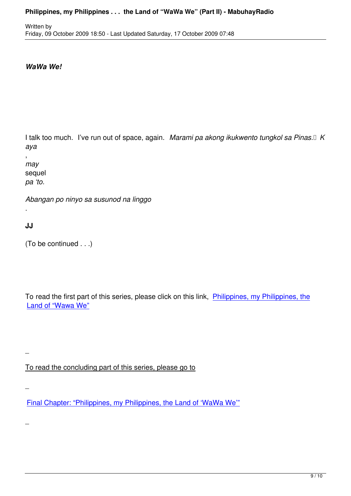# *WaWa We!*

I talk too much. I've run out of space, again. Marami pa akong ikukwento tungkol sa Pinas.<sup>[]</sup> K *aya*

, *may*  sequel *pa 'to.*

*Abangan po ninyo sa susunod na linggo*

**JJ**

.

 $\overline{a}$ 

 $\overline{a}$ 

 $\overline{a}$ 

(To be continued . . .)

To read the first part of this series, please click on this link, Philippines, my Philippines, the Land of "Wawa We"

To read the concluding part of this series, please go to

Final Chapter: "Philippines, my Philippines, the Land of 'WaWa We'"